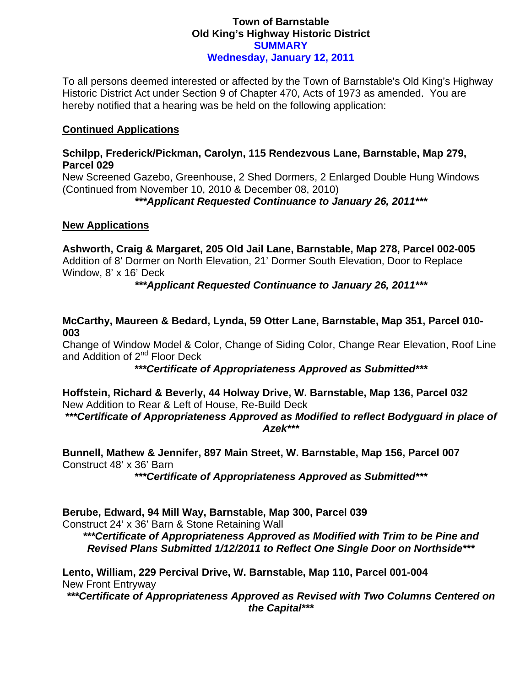# **Town of Barnstable Old King's Highway Historic District SUMMARY Wednesday, January 12, 2011**

To all persons deemed interested or affected by the Town of Barnstable's Old King's Highway Historic District Act under Section 9 of Chapter 470, Acts of 1973 as amended. You are hereby notified that a hearing was be held on the following application:

### **Continued Applications**

### **Schilpp, Frederick/Pickman, Carolyn, 115 Rendezvous Lane, Barnstable, Map 279, Parcel 029**

New Screened Gazebo, Greenhouse, 2 Shed Dormers, 2 Enlarged Double Hung Windows (Continued from November 10, 2010 & December 08, 2010)

*\*\*\*Applicant Requested Continuance to January 26, 2011\*\*\** 

# **New Applications**

**Ashworth, Craig & Margaret, 205 Old Jail Lane, Barnstable, Map 278, Parcel 002-005**  Addition of 8' Dormer on North Elevation, 21' Dormer South Elevation, Door to Replace Window, 8' x 16' Deck

*\*\*\*Applicant Requested Continuance to January 26, 2011\*\*\** 

# **McCarthy, Maureen & Bedard, Lynda, 59 Otter Lane, Barnstable, Map 351, Parcel 010- 003**

Change of Window Model & Color, Change of Siding Color, Change Rear Elevation, Roof Line and Addition of 2<sup>nd</sup> Floor Deck

*\*\*\*Certificate of Appropriateness Approved as Submitted\*\*\** 

**Hoffstein, Richard & Beverly, 44 Holway Drive, W. Barnstable, Map 136, Parcel 032**  New Addition to Rear & Left of House, Re-Build Deck

*\*\*\*Certificate of Appropriateness Approved as Modified to reflect Bodyguard in place of Azek\*\*\** 

**Bunnell, Mathew & Jennifer, 897 Main Street, W. Barnstable, Map 156, Parcel 007**  Construct 48' x 36' Barn

*\*\*\*Certificate of Appropriateness Approved as Submitted\*\*\** 

**Berube, Edward, 94 Mill Way, Barnstable, Map 300, Parcel 039**  Construct 24' x 36' Barn & Stone Retaining Wall

*\*\*\*Certificate of Appropriateness Approved as Modified with Trim to be Pine and Revised Plans Submitted 1/12/2011 to Reflect One Single Door on Northside\*\*\** 

**Lento, William, 229 Percival Drive, W. Barnstable, Map 110, Parcel 001-004**  New Front Entryway

*\*\*\*Certificate of Appropriateness Approved as Revised with Two Columns Centered on the Capital\*\*\**